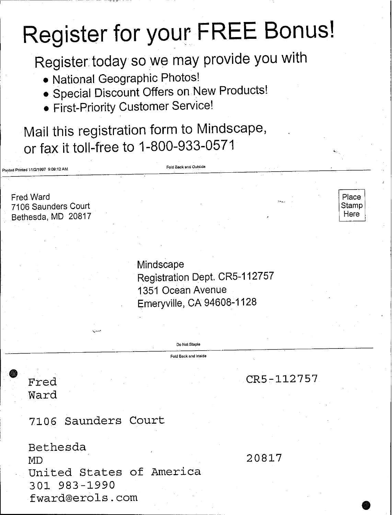# **Register for your FREE Bonus!**

Fold Back and Outside

Register today so we may provide you with

- National Geographic Photos!
- Special Discount Offers on New Products!
- First-Priority Customer Service!

Mail this registration form to Mindscape, or fax it toll-free to 1-800-933-0571

Fred Ward 7106 Saunders Court Bethesda, MD 20817

PrifltedPrinted111211997 9:09:12 AM

Mindscape Registration Dept. CR5-112757 1351 Ocean Avenue Emeryville, CA 94608-1128

Do Not Staple

Fold Back and Inside

**Fred** Ward

7106 Saunders Court

Bethesda MD united States of America 301 983-1990 fward@erols.com

20817

CR5-112757

Place **Stamp Here** 

**•**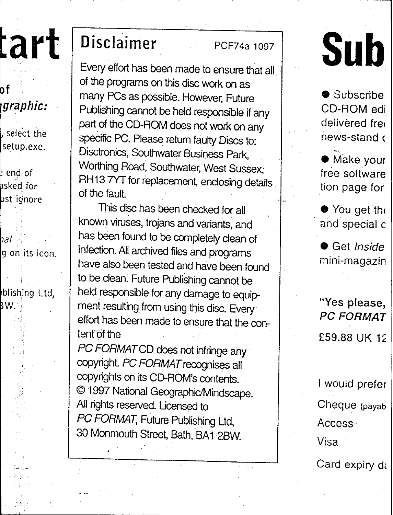# tart

#### o f graphic:

, select the setup.exe.

end of sked for ust ignore

nal . g on its icon.

blishing Ltd, 3 W.

#### Disclaimer PCF74a 1097

.....

Every effort has been made to ensure that all of the programs on this disc work on as many PCs as possible. However, Future Publishing cannot be held responsible if any part of the CD-ROM does not work on any specific PC. Please retum faulty Discs to: Disctronics, Southwater Business Park, Worthing Road, Southwater, West Sussex; RH13 7YT for replacement, enclosing details .of the fault.

This disc has been checked for all known viruses, trojans and variants, and has been found to be completely clean of infection. All archived files and programs . have also been tested and have been found to be clean. Future Publishing cannot be held responsible for any damage to equipment resulting from using this disc. Every effort has been made to ensure that the content<sup>of</sup> the

PC FORMATCD does not infringe any copyright. PC FORMAT recognises all . copyrights on its CD-ROM's contents. © 1997 National GeographiCIMindscape. All rights reserved. Licensed to PC FORMAT, Future Publishing Ltd, 30 Monmouth Street, Bath, SA1 2SW.

**Sub**

• Subscribe CD-ROM edi delivered frei news-stand (

 $\mathbf{w}_{hs}$ • Make your free software tion page for

• You get the and special c

**•** Get Inside mini-magazin

"Yes please, PC FORMAT £59.88 UK 1

I would prefer Cheque (payab Access-Visa

Card expiry di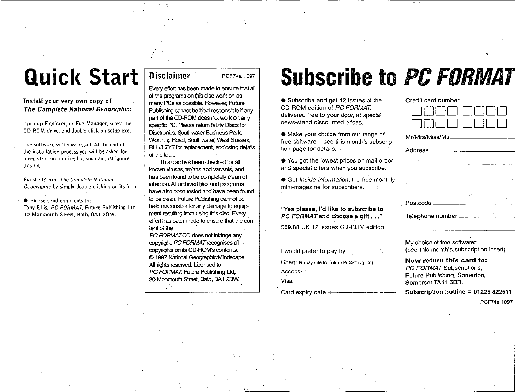## **Quicl< Start**

I

Install your very own copy of The Complete National Geographic:

Open up Explorer, or File Manager, select the CD-ROM drive, and double-click on setup.exe.

The software will now install. At the end of the installation process you will be asked for a registration number, but you can just ignore this bit.

Finished? Run The Complete National Geographic by simply double-clicking on its icon.

• Please send comments to: Tony Ellis, PC FORMAT, Future Publishing Ltd, 30 Monmouth Street, Bath, SAl 2BW.

#### Disclaimer PCF74a 1097

Every effort has been made to ensure that all of the programs on this disc work on as many PCs as possible.However, Future Publishing cannot be held responsible if any part of the CD-ROM does not work on any specific PC. Please return faulty Discs to: Disctronics, Southwater Business Park, Worthing Road, Southwater, West Sussex, RH13 7YT for replacement, enclosing details of tha fault

:;

This dischas been checked for all known viruses, troians and variants, and has been found to be completely clean of infection. All archived files and programs have also been tested and have been found to be clean. Future Publishing cannot be held responsible for any damage to equipment resulting from using this disc. Every effort has been made to ensure that the c0ntent of the

PC FORMATCD does not infringe any copyright. PC FORMAT recognises all copyrights on its CD-ROM's contents. © 1997 National GeographiclMindscape. All rights reserved. Licensed to PC FORMAT, Future Publishing Ltd, 30 Monmouth Street Bath, SAl 2SW.

#### **Subscribe** to *PC FORMAT*

• Subscribe and get 12 issues of the CD-ROM edition of PC FORMAT, delivered free to your door, at special news-stand discounted prices;

• Make your choice from our range of  $free$  software  $-$  see this month's subscription page for details.

• You get the lowest prices on mail order and special offers when you subscribe.

**• Get Inside Information, the free monthly** mini-magazine for subscribers.

"Yes please, I'd like to subscribe to  $PC$  FORMAT and choose a gift  $\dots$ " £59.88 UK 12 issues CD-ROM edition

I would prefer to pay by:

Cheque (payable to Future Publishing lid) Access

Visa

Card expiry date --

| Credit card number |                   |
|--------------------|-------------------|
|                    |                   |
|                    |                   |
| Mr/Mrs/Miss/Ms     |                   |
| Address            | $\sim$ $^{\circ}$ |

| Postcode. |  |  |  |
|-----------|--|--|--|
|           |  |  |  |

Teiephone number \_

My choice of free software: (see this month's subscription insert)

**Now return this card to:** PC FORMAT Subscriptions, Future Publishing, Somerton, Somerset TA<sub>11</sub> 6BR.

Subscription hotline  $\pi$  01225 822511

PCF74a 1097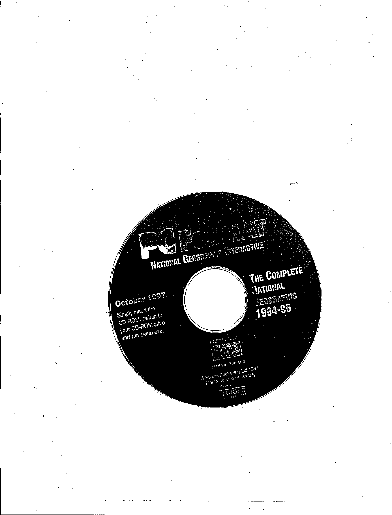

### October 1997

Simply insert the<br>CD-ROM, switch to<br>your CD-ROM drive and run setup.exe.

THE COMPLETE HATIONAL SEGGRAPMC

Made in England The Publishing Ltd 1997<br>Not to be sold separately RTC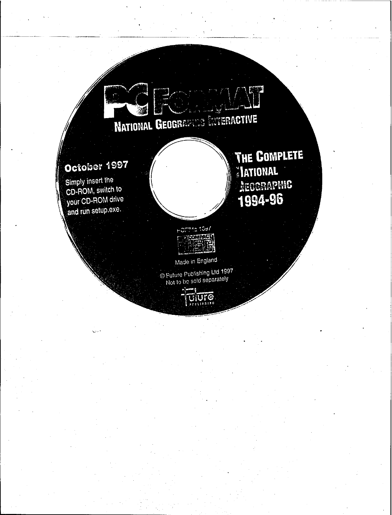# NATIONAL GEOGRAPHES ENTERACTIVE

#### October 1997

Simply insert the CD-ROM, switch to your CD-ROM drive and run setup.exe.



Made in England

The Future Publishing Ltd 1997<br>Not to be sold separately



THE COMPLETE **AROITAL JECORAPING**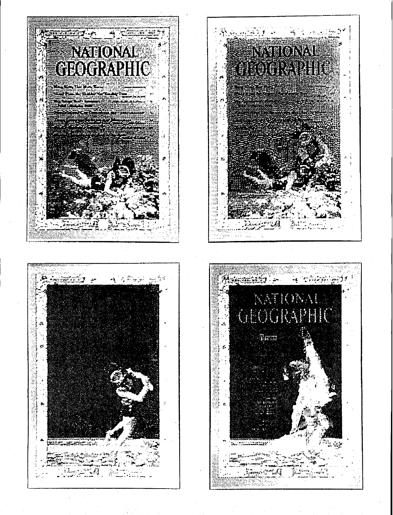



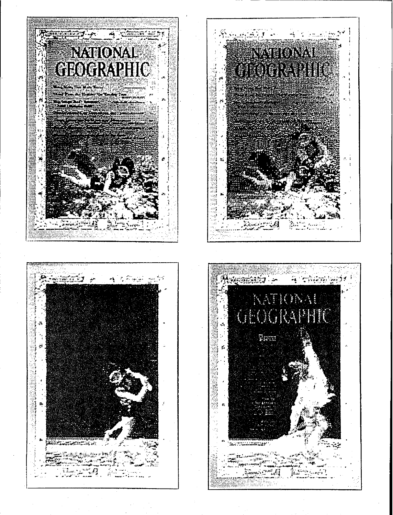